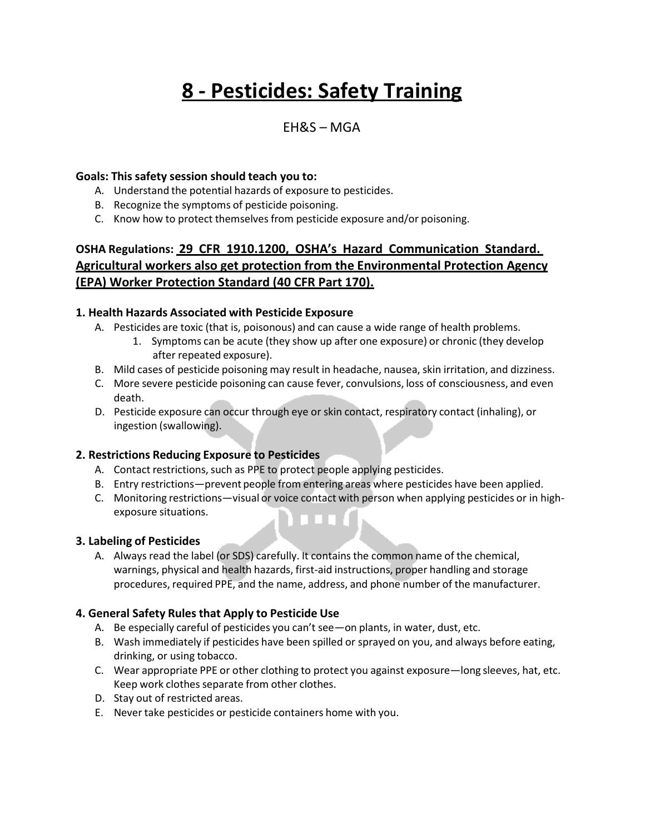# **8 - Pesticides: Safety Training**

# EH&S – MGA

#### **Goals: This safety session should teach you to:**

- A. Understand the potential hazards of exposure to pesticides.
- B. Recognize the symptoms of pesticide poisoning.
- C. Know how to protect themselves from pesticide exposure and/or poisoning.

# **OSHA Regulations: 29 CFR 1910.1200, OSHA's Hazard Communication Standard. Agricultural workers also get protection from the Environmental Protection Agency (EPA) Worker Protection Standard (40 CFR Part 170).**

#### **1. Health Hazards Associated with Pesticide Exposure**

- A. Pesticides are toxic (that is, poisonous) and can cause a wide range of health problems.
	- 1. Symptoms can be acute (they show up after one exposure) or chronic (they develop after repeated exposure).
- B. Mild cases of pesticide poisoning may result in headache, nausea, skin irritation, and dizziness.
- C. More severe pesticide poisoning can cause fever, convulsions, loss of consciousness, and even death.
- D. Pesticide exposure can occur through eye or skin contact, respiratory contact (inhaling), or ingestion (swallowing).

# **2. Restrictions Reducing Exposure to Pesticides**

- A. Contact restrictions, such as PPE to protect people applying pesticides.
- B. Entry restrictions—prevent people from entering areas where pesticides have been applied.
- C. Monitoring restrictions—visual or voice contact with person when applying pesticides or in highexposure situations.

#### **3. Labeling of Pesticides**

A. Always read the label (or SDS) carefully. It contains the common name of the chemical, warnings, physical and health hazards, first-aid instructions, proper handling and storage procedures, required PPE, and the name, address, and phone number of the manufacturer.

# **4. General Safety Rules that Apply to Pesticide Use**

- A. Be especially careful of pesticides you can't see—on plants, in water, dust, etc.
- B. Wash immediately if pesticides have been spilled or sprayed on you, and always before eating, drinking, or using tobacco.
- C. Wear appropriate PPE or other clothing to protect you against exposure—long sleeves, hat, etc. Keep work clothes separate from other clothes.
- D. Stay out of restricted areas.
- E. Never take pesticides or pesticide containers home with you.